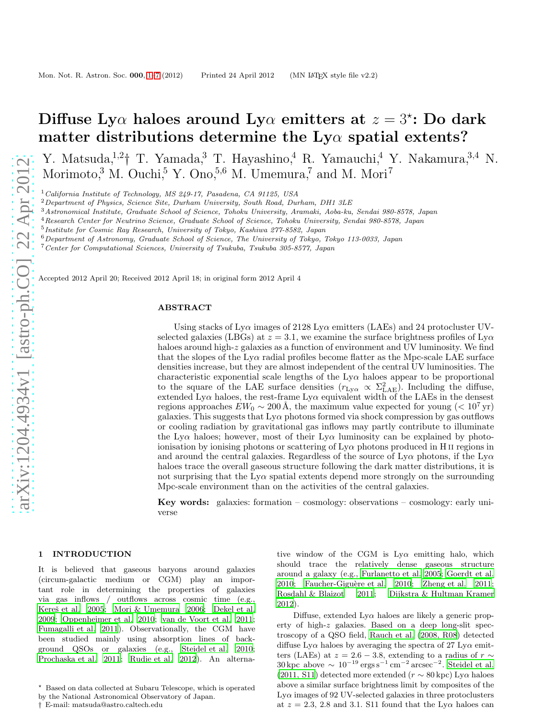# Diffuse Ly $\alpha$  haloes around Ly $\alpha$  emitters at  $z = 3$ \*: Do dark matter distributions determine the  $Ly\alpha$  spatial extents?

Y. Matsuda,<sup>1,2</sup>† T. Yamada,<sup>3</sup> T. Hayashino,<sup>4</sup> R. Yamauchi,<sup>4</sup> Y. Nakamura,<sup>3,4</sup> N. Morimoto,<sup>3</sup> M. Ouchi,<sup>5</sup> Y. Ono,<sup>5,6</sup> M. Umemura,<sup>7</sup> and M. Mori<sup>7</sup>

<sup>1</sup> California Institute of Technology, MS 249-17, Pasadena, CA 91125, USA

 $^{2}$ Department of Physics, Science Site, Durham University, South Road, Durham, DH1 3LE

<sup>3</sup>Astronomical Institute, Graduate School of Science, Tohoku University, Aramaki, Aoba-ku, Sendai 980-8578, Japan

<sup>4</sup>Research Center for Neutrino Science, Graduate School of Science, Tohoku University, Sendai 980-8578, Japan

5 Institute for Cosmic Ray Research, University of Tokyo, Kashiwa 277-8582, Japan

 $6$ Department of Astronomy, Graduate School of Science, The University of Tokyo, Tokyo 113-0033, Japan

<sup>7</sup>Center for Computational Sciences, University of Tsukuba, Tsukuba 305-8577, Japan

Accepted 2012 April 20; Received 2012 April 18; in original form 2012 April 4

### ABSTRACT

Using stacks of  $Ly\alpha$  images of 2128 Ly $\alpha$  emitters (LAEs) and 24 protocluster UVselected galaxies (LBGs) at  $z = 3.1$ , we examine the surface brightness profiles of  $Lv\alpha$ haloes around high-z galaxies as a function of environment and UV luminosity. We find that the slopes of the  $Ly\alpha$  radial profiles become flatter as the Mpc-scale LAE surface densities increase, but they are almost independent of the central UV luminosities. The characteristic exponential scale lengths of the  $Ly\alpha$  haloes appear to be proportional to the square of the LAE surface densities  $(r_{Ly\alpha} \propto \Sigma_{\rm LAE}^2)$ . Including the diffuse, extended Ly $\alpha$  haloes, the rest-frame Ly $\alpha$  equivalent width of the LAEs in the densest regions approaches  $EW_0 \sim 200 \text{ Å}$ , the maximum value expected for young (< 10<sup>7</sup> yr) galaxies. This suggests that Lyα photons formed via shock compression by gas outflows or cooling radiation by gravitational gas inflows may partly contribute to illuminate the Ly $\alpha$  haloes; however, most of their Ly $\alpha$  luminosity can be explained by photoionisation by ionising photons or scattering of  $Ly\alpha$  photons produced in H II regions in and around the central galaxies. Regardless of the source of  $Ly\alpha$  photons, if the  $Ly\alpha$ haloes trace the overall gaseous structure following the dark matter distributions, it is not surprising that the  $Ly\alpha$  spatial extents depend more strongly on the surrounding Mpc-scale environment than on the activities of the central galaxies.

Key words: galaxies: formation – cosmology: observations – cosmology: early universe

## <span id="page-0-0"></span>1 INTRODUCTION

It is believed that gaseous baryons around galaxies (circum-galactic medium or CGM) play an important role in determining the properties of galaxies via gas inflows / outflows across cosmic time (e.g., Kereš et al. 2005; [Mori & Umemura 2006](#page-5-1); [Dekel et al.](#page-5-2) [2009](#page-5-2); [Oppenheimer et al. 2010](#page-5-3); [van de Voort et al. 2011;](#page-6-0) [Fumagalli et al. 2011](#page-5-4)). Observationally, the CGM have been studied mainly using absorption lines of background QSOs or galaxies (e.g., [Steidel et al. 2010;](#page-6-1) [Prochaska et al. 2011](#page-5-5); [Rudie et al. 2012](#page-6-2)). An alternative window of the CGM is  $Ly\alpha$  emitting halo, which should trace the relatively dense gaseous structure around a galaxy (e.g., [Furlanetto et al. 2005;](#page-5-6) [Goerdt et al.](#page-5-7)  $2010$ ; Faucher-Giguère et al.  $2010$ ; Zheng et al.  $2011$ ; [Rosdahl & Blaizot 2011](#page-5-9); [Dijkstra & Hultman Kramer](#page-5-10) [2012](#page-5-10)).

Diffuse, extended  $Ly\alpha$  haloes are likely a generic property of high-z galaxies. Based on a deep long-slit spectroscopy of a QSO field, [Rauch et al. \(2008, R08](#page-5-11)) detected diffuse  $Ly\alpha$  haloes by averaging the spectra of 27 Ly $\alpha$  emitters (LAEs) at  $z = 2.6 - 3.8$ , extending to a radius of  $r \sim$  $30 \,\text{kpc}$  above  $\sim 10^{-19} \,\text{ergs s}^{-1} \,\text{cm}^{-2} \,\text{arcsec}^{-2}$ . [Steidel et al.](#page-6-4) [\(2011, S11](#page-6-4)) detected more extended ( $r \sim 80$  kpc) Ly $\alpha$  haloes above a similar surface brightness limit by composites of the  $Ly\alpha$  images of 92 UV-selected galaxies in three protoclusters at  $z = 2.3$ , 2.8 and 3.1. S11 found that the Ly $\alpha$  haloes can

<sup>⋆</sup> Based on data collected at Subaru Telescope, which is operated by the National Astronomical Observatory of Japan.

<sup>†</sup> E-mail: matsuda@astro.caltech.edu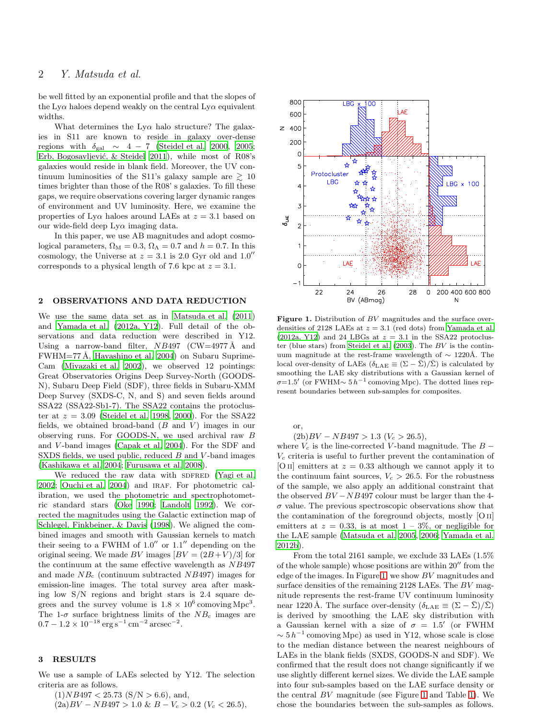# 2 Y. Matsuda et al.

be well fitted by an exponential profile and that the slopes of the Ly $\alpha$  haloes depend weakly on the central Ly $\alpha$  equivalent widths.

What determines the  $L_{\text{V}}\alpha$  halo structure? The galaxies in S11 are known to reside in galaxy over-dense regions with  $\delta_{gal} \sim 4 - 7$  [\(Steidel et al. 2000](#page-6-5), [2005;](#page-6-6) Erb, Bogosavljević, & Steidel 2011), while most of R08's galaxies would reside in blank field. Moreover, the UV continuum luminosities of the S11's galaxy sample are  $\geq 10$ times brighter than those of the R08' s galaxies. To fill these gaps, we require observations covering larger dynamic ranges of environment and UV luminosity. Here, we examine the properties of Ly $\alpha$  haloes around LAEs at  $z = 3.1$  based on our wide-field deep  $Ly\alpha$  imaging data.

In this paper, we use AB magnitudes and adopt cosmological parameters,  $\Omega_M = 0.3$ ,  $\Omega_{\Lambda} = 0.7$  and  $h = 0.7$ . In this cosmology, the Universe at  $z = 3.1$  is 2.0 Gyr old and  $1.0''$ corresponds to a physical length of 7.6 kpc at  $z = 3.1$ .

#### 2 OBSERVATIONS AND DATA REDUCTION

We use the same data set as in [Matsuda et al. \(2011](#page-5-13)) and [Yamada et al. \(2012a, Y12\)](#page-6-7). Full detail of the observations and data reduction were described in Y12. Using a narrow-band filter,  $NB497$  (CW=4977 Å and  $FWHM=77 \text{Å}$ , [Hayashino et al. 2004](#page-5-14)) on Subaru Suprime-Cam [\(Miyazaki et al. 2002](#page-5-15)), we observed 12 pointings: Great Observatories Origins Deep Survey-North (GOODS-N), Subaru Deep Field (SDF), three fields in Subaru-XMM Deep Survey (SXDS-C, N, and S) and seven fields around SSA22 (SSA22-Sb1-7). The SSA22 contains the protocluster at  $z = 3.09$  [\(Steidel et al. 1998,](#page-6-8) [2000\)](#page-6-5). For the SSA22 fields, we obtained broad-band  $(B \text{ and } V)$  images in our observing runs. For GOODS-N, we used archival raw B and V -band images [\(Capak et al. 2004\)](#page-5-16). For the SDF and SXDS fields, we used public, reduced B and V-band images [\(Kashikawa et al. 2004](#page-5-17); [Furusawa et al. 2008](#page-5-18)).

We reduced the raw data with SDFRED [\(Yagi et al.](#page-6-9) [2002](#page-6-9); [Ouchi et al. 2004](#page-5-19)) and IRAF. For photometric calibration, we used the photometric and spectrophotometric standard stars [\(Oke 1990](#page-5-20); [Landolt 1992](#page-5-21)). We corrected the magnitudes using the Galactic extinction map of [Schlegel, Finkbeiner, & Davis \(1998](#page-6-10)). We aligned the combined images and smooth with Gaussian kernels to match their seeing to a FWHM of  $1.0''$  or  $1.1''$  depending on the original seeing. We made BV images  $[BV = (2B + V)/3]$  for the continuum at the same effective wavelength as NB497 and made  $NB<sub>c</sub>$  (continuum subtracted NB497) images for emission-line images. The total survey area after masking low S/N regions and bright stars is 2.4 square degrees and the survey volume is  $1.8 \times 10^6$  comoving Mpc<sup>3</sup>. The 1- $\sigma$  surface brightness limits of the  $NB_c$  images are  $0.7 - 1.2 \times 10^{-18} \text{ erg s}^{-1} \text{ cm}^{-2} \text{ arcsec}^{-2}.$ 

#### 3 RESULTS

We use a sample of LAEs selected by Y12. The selection criteria are as follows.

 $(1)NB497 < 25.73$   $(S/N > 6.6)$ , and,

$$
(2a)BV - NB497 > 1.0 \& B - V_c > 0.2 \ (V_c < 26.5),
$$



<span id="page-1-0"></span>Figure 1. Distribution of BV magnitudes and the surface overdensities of 2128 LAEs at  $z = 3.1$  (red dots) from [Yamada et al.](#page-6-7)  $(2012a, Y12)$  and 24 LBGs at  $z = 3.1$  in the SSA22 protocluster (blue stars) from [Steidel et al. \(2003](#page-6-11)). The BV is the continuum magnitude at the rest-frame wavelength of  $\sim 1220$ Å. The local over-density of LAEs  $(\delta_{\text{LAE}} \equiv (\Sigma - \bar{\Sigma})/\bar{\Sigma})$  is calculated by smoothing the LAE sky distributions with a Gaussian kernel of  $\sigma=1.5'$  (or FWHM $\sim 5 h^{-1}$  comoving Mpc). The dotted lines represent boundaries between sub-samples for composites.

or,

 $(2b)BV - NB497 > 1.3$   $(V<sub>c</sub> > 26.5),$ 

where  $V_c$  is the line-corrected V-band magnitude. The  $B V_c$  criteria is useful to further prevent the contamination of [O II] emitters at  $z = 0.33$  although we cannot apply it to the continuum faint sources,  $V_c > 26.5$ . For the robustness of the sample, we also apply an additional constraint that the observed  $BV - NB497$  colour must be larger than the 4- $\sigma$  value. The previous spectroscopic observations show that the contamination of the foreground objects, mostly [O ii] emitters at  $z = 0.33$ , is at most  $1 - 3\%$ , or negligible for the LAE sample [\(Matsuda et al. 2005](#page-5-22), [2006](#page-5-23); [Yamada et al.](#page-6-12) [2012b\)](#page-6-12).

From the total 2161 sample, we exclude 33 LAEs (1.5% of the whole sample) whose positions are within 20′′ from the edge of the images. In Figure [1,](#page-1-0) we show BV magnitudes and surface densities of the remaining 2128 LAEs. The BV magnitude represents the rest-frame UV continuum luminosity near 1220 Å. The surface over-density  $(\delta_{\text{LAE}} \equiv (\Sigma - \overline{\Sigma})/\overline{\Sigma})$ is derived by smoothing the LAE sky distribution with a Gaussian kernel with a size of  $\sigma = 1.5'$  (or FWHM  $\sim 5 h^{-1}$  comoving Mpc) as used in Y12, whose scale is close to the median distance between the nearest neighbours of LAEs in the blank fields (SXDS, GOODS-N and SDF). We confirmed that the result does not change significantly if we use slightly different kernel sizes. We divide the LAE sample into four sub-samples based on the LAE surface density or the central BV magnitude (see Figure [1](#page-1-0) and Table [1\)](#page-2-0). We chose the boundaries between the sub-samples as follows.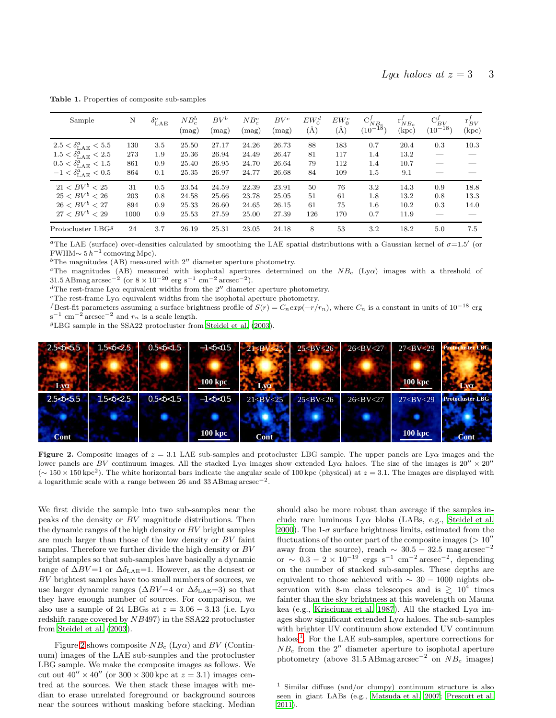| Sample                           | N    | $\delta^a_{\rm LAE}$ | $NB_c^b$<br>(mag) | $BV^b$<br>(mag) | $NB_c^c$<br>(mag) | $BV^c$<br>(mag) | $EW_0^d$<br>$\rm (\AA)$ | $EW_0^e$<br>(Å) | $\mathrm{C}_{NB_c}^f$<br>$(10^{-18})$ | $r'_{NB_c}$<br>(kpc) | $C_{BV}^f$<br>$(10^{-18})$ | $r_{BV}^J$<br>(kpc) |
|----------------------------------|------|----------------------|-------------------|-----------------|-------------------|-----------------|-------------------------|-----------------|---------------------------------------|----------------------|----------------------------|---------------------|
| $2.5 < \delta^a_{\rm LAE} < 5.5$ | 130  | $3.5\,$              | 25.50             | 27.17           | 24.26             | 26.73           | 88                      | 183             | 0.7                                   | 20.4                 | 0.3                        | 10.3                |
| $1.5 < \delta_{\rm LAE}^a < 2.5$ | 273  | $1.9\,$              | 25.36             | 26.94           | 24.49             | 26.47           | 81                      | 117             | 1.4                                   | 13.2                 |                            |                     |
| $0.5 < \delta^a_{\rm LAE} < 1.5$ | 861  | 0.9                  | 25.40             | 26.95           | 24.70             | 26.64           | 79                      | 112             | 1.4                                   | 10.7                 |                            |                     |
| $-1<\delta^a_{\rm LAE}<0.5$      | 864  | 0.1                  | 25.35             | 26.97           | 24.77             | 26.68           | 84                      | 109             | 1.5                                   | 9.1                  |                            |                     |
| $21 < BV^b < 25$                 | 31   | 0.5                  | 23.54             | 24.59           | 22.39             | 23.91           | 50                      | 76              | $3.2\,$                               | 14.3                 | 0.9                        | 18.8                |
| $25 < BV^{b} < 26$               | 203  | 0.8                  | 24.58             | 25.66           | 23.78             | 25.05           | 51                      | 61              | 1.8                                   | 13.2                 | 0.8                        | 13.3                |
| $26 < BV^{b} < 27$               | 894  | 0.9                  | 25.33             | 26.60           | 24.65             | 26.15           | 61                      | 75              | $1.6\,$                               | 10.2                 | 0.3                        | 14.0                |
| $27 < BV^b < 29$                 | 1000 | 0.9                  | 25.53             | 27.59           | 25.00             | 27.39           | 126                     | 170             | 0.7                                   | 11.9                 |                            |                     |
| Protocluster LBG <sup>9</sup>    | 24   | 3.7                  | 26.19             | 25.31           | 23.05             | 24.18           | 8                       | 53              | 3.2                                   | 18.2                 | 5.0                        | 7.5                 |

<span id="page-2-0"></span>Table 1. Properties of composite sub-samples

<sup>a</sup>The LAE (surface) over-densities calculated by smoothing the LAE spatial distributions with a Gaussian kernel of  $\sigma=1.5'$  (or FWHM $\sim 5 h^{-1}$  comoving Mpc).

 $b$ The magnitudes (AB) measured with  $2''$  diameter aperture photometry.

<sup>c</sup>The magnitudes (AB) measured with isophotal apertures determined on the  $NB_c$  (Ly $\alpha$ ) images with a threshold of 31.5 ABmag arcsec<sup>-2</sup> (or  $8 \times 10^{-20}$  erg s<sup>-1</sup> cm<sup>-2</sup> arcsec<sup>-2</sup>).

<sup>d</sup>The rest-frame Ly $\alpha$  equivalent widths from the 2<sup> $\prime\prime$ </sup> diameter aperture photometry.

<sup>e</sup>The rest-frame Ly $\alpha$  equivalent widths from the isophotal aperture photometry.

f Best-fit parameters assuming a surface brightness profile of  $S(r) = C_n exp(-r/r_n)$ , where  $C_n$  is a constant in units of  $10^{-18}$  erg  $s^{-1}$  cm<sup>-2</sup> arcsec<sup>-2</sup> and  $r_n$  is a scale length.

<sup>g</sup>LBG sample in the SSA22 protocluster from [Steidel et al. \(2003\)](#page-6-11).



<span id="page-2-1"></span>Figure 2. Composite images of  $z = 3.1$  LAE sub-samples and protocluster LBG sample. The upper panels are Ly $\alpha$  images and the lower panels are BV continuum images. All the stacked Ly $\alpha$  images show extended Ly $\alpha$  haloes. The size of the images is  $20'' \times 20''$  $({\sim 150 \times 150 \text{ kpc}^2})$ . The white horizontal bars indicate the angular scale of 100 kpc (physical) at  $z = 3.1$ . The images are displayed with a logarithmic scale with a range between 26 and 33 ABmag arcsec<sup>-2</sup>.

We first divide the sample into two sub-samples near the peaks of the density or BV magnitude distributions. Then the dynamic ranges of the high density or  $BV$  bright samples are much larger than those of the low density or BV faint samples. Therefore we further divide the high density or BV bright samples so that sub-samples have basically a dynamic range of  $\Delta BV=1$  or  $\Delta\delta_{\rm LAE}=1$ . However, as the densest or BV brightest samples have too small numbers of sources, we use larger dynamic ranges ( $\Delta BV = 4$  or  $\Delta \delta_{\rm LAE} = 3$ ) so that they have enough number of sources. For comparison, we also use a sample of 24 LBGs at  $z = 3.06 - 3.13$  (i.e. Ly $\alpha$ redshift range covered by NB497) in the SSA22 protocluster from [Steidel et al. \(2003](#page-6-11)).

Figure [2](#page-2-1) shows composite  $NB_c$  (Ly $\alpha$ ) and BV (Continuum) images of the LAE sub-samples and the protocluster LBG sample. We make the composite images as follows. We cut out  $40'' \times 40''$  (or  $300 \times 300$  kpc at  $z = 3.1$ ) images centred at the sources. We then stack these images with median to erase unrelated foreground or background sources near the sources without masking before stacking. Median

should also be more robust than average if the samples include rare luminous  $Ly\alpha$  blobs (LABs, e.g., [Steidel et al.](#page-6-5) [2000](#page-6-5)). The 1- $\sigma$  surface brightness limits, estimated from the fluctuations of the outer part of the composite images  $(>10'$ away from the source), reach  $\sim 30.5 - 32.5$  mag arcsec<sup>-2</sup> or ~  $0.3 - 2 \times 10^{-19}$  ergs s<sup>-1</sup> cm<sup>-2</sup> arcsec<sup>-2</sup>, depending on the number of stacked sub-samples. These depths are equivalent to those achieved with  $\sim$  30 − 1000 nights observation with 8-m class telescopes and is  $\gtrsim 10^4$  times fainter than the sky brightness at this wavelength on Mauna kea (e.g., [Krisciunas et al. 1987](#page-5-24)). All the stacked  $Ly\alpha$  images show significant extended  $Ly\alpha$  haloes. The sub-samples with brighter UV continuum show extended UV continuum haloes<sup>[1](#page-2-2)</sup>. For the LAE sub-samples, aperture corrections for  $NB<sub>c</sub>$  from the 2<sup> $\prime\prime$ </sup> diameter aperture to isophotal aperture photometry (above  $31.5$  ABmag arcsec<sup>-2</sup> on  $NB_c$  images)

<span id="page-2-2"></span><sup>1</sup> Similar diffuse (and/or clumpy) continuum structure is also seen in giant LABs (e.g., [Matsuda et al. 2007;](#page-5-25) [Prescott et al.](#page-5-26) [2011](#page-5-26)).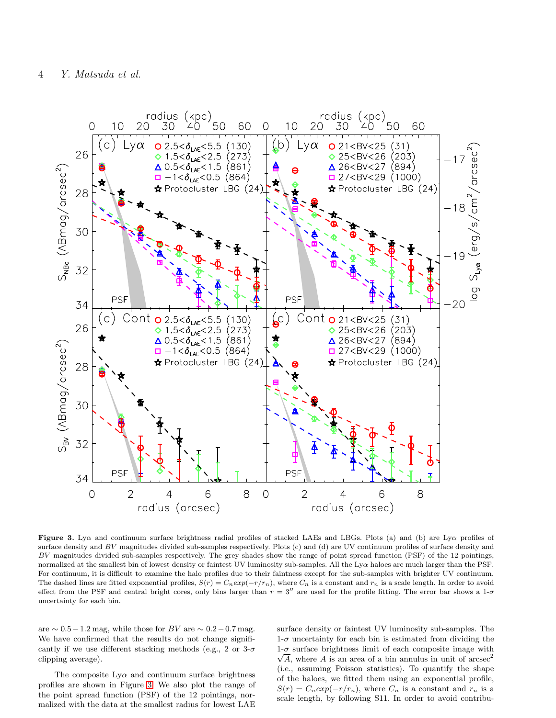

<span id="page-3-0"></span>Figure 3. Lya and continuum surface brightness radial profiles of stacked LAEs and LBGs. Plots (a) and (b) are Lya profiles of surface density and BV magnitudes divided sub-samples respectively. Plots (c) and (d) are UV continuum profiles of surface density and BV magnitudes divided sub-samples respectively. The grey shades show the range of point spread function (PSF) of the 12 pointings, normalized at the smallest bin of lowest density or faintest UV luminosity sub-samples. All the Lyα haloes are much larger than the PSF. For continuum, it is difficult to examine the halo profiles due to their faintness except for the sub-samples with brighter UV continuum. The dashed lines are fitted exponential profiles,  $S(r) = C_n exp(-r/r_n)$ , where  $C_n$  is a constant and  $r_n$  is a scale length. In order to avoid effect from the PSF and central bright cores, only bins larger than  $r = 3''$  are used for the profile fitting. The error bar shows a 1- $\sigma$ uncertainty for each bin.

are  $\sim 0.5 - 1.2$  mag, while those for BV are  $\sim 0.2 - 0.7$  mag. We have confirmed that the results do not change significantly if we use different stacking methods (e.g., 2 or  $3-\sigma$ ) clipping average).

The composite  $Ly\alpha$  and continuum surface brightness profiles are shown in Figure [3.](#page-3-0) We also plot the range of the point spread function (PSF) of the 12 pointings, normalized with the data at the smallest radius for lowest LAE surface density or faintest UV luminosity sub-samples. The  $1-\sigma$  uncertainty for each bin is estimated from dividing the  $\sqrt{A}$ , where A is an area of a bin annulus in unit of arcsec<sup>2</sup>  $1-\sigma$  surface brightness limit of each composite image with (i.e., assuming Poisson statistics). To quantify the shape of the haloes, we fitted them using an exponential profile,  $S(r) = C_n exp(-r/r_n)$ , where  $C_n$  is a constant and  $r_n$  is a scale length, by following S11. In order to avoid contribu-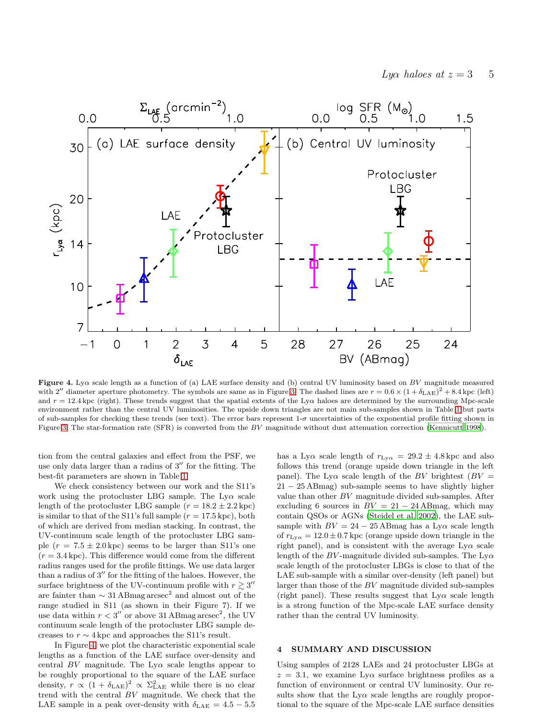

<span id="page-4-0"></span>Figure 4. Ly $\alpha$  scale length as a function of (a) LAE surface density and (b) central UV luminosity based on BV magnitude measured with 2<sup>"</sup> diameter aperture photometry. The symbols are same as in Figure [3.](#page-3-0) The dashed lines are  $r = 0.6 \times (1 + \delta_{\rm LAE})^2 + 8.4$  kpc (left) and  $r = 12.4 \text{ kpc (right)}$ . These trends suggest that the spatial extents of the Ly $\alpha$  haloes are determined by the surrounding Mpc-scale environment rather than the central UV luminosities. The upside down triangles are not main sub-samples shown in Table [1](#page-2-0) but parts of sub-samples for checking these trends (see text). The error bars represent  $1-\sigma$  uncertainties of the exponential profile fitting shown in Figure [3.](#page-3-0) The star-formation rate (SFR) is converted from the BV magnitude without dust attenuation correction [\(Kennicutt](#page-5-27) [1998](#page-5-27)).

tion from the central galaxies and effect from the PSF, we use only data larger than a radius of  $3''$  for the fitting. The best-fit parameters are shown in Table [1.](#page-2-0)

We check consistency between our work and the S11's work using the protocluster LBG sample. The  $Ly\alpha$  scale length of the protocluster LBG sample  $(r = 18.2 \pm 2.2 \text{ kpc})$ is similar to that of the S11's full sample  $(r = 17.5 \text{ kpc})$ , both of which are derived from median stacking. In contrast, the UV-continuum scale length of the protocluster LBG sample  $(r = 7.5 \pm 2.0 \,\text{kpc})$  seems to be larger than S11's one  $(r = 3.4 \text{ kpc})$ . This difference would come from the different radius ranges used for the profile fittings. We use data larger than a radius of 3′′ for the fitting of the haloes. However, the surface brightness of the UV-continuum profile with  $r \gtrsim 3''$ are fainter than  $\sim 31 \text{ ABmag}$  arcsec<sup>2</sup> and almost out of the range studied in S11 (as shown in their Figure 7). If we use data within  $r < 3''$  or above 31 ABmag arcsec<sup>2</sup>, the UV continuum scale length of the protocluster LBG sample decreases to  $r \sim 4 \text{ kpc}$  and approaches the S11's result.

In Figure [4,](#page-4-0) we plot the characteristic exponential scale lengths as a function of the LAE surface over-density and central BV magnitude. The  $Ly\alpha$  scale lengths appear to be roughly proportional to the square of the LAE surface density,  $r \propto (1 + \delta_{\rm LAE})^2 \propto \Sigma_{\rm LAE}^2$  while there is no clear trend with the central BV magnitude. We check that the LAE sample in a peak over-density with  $\delta_{\rm LAE} = 4.5 - 5.5$ 

has a Ly $\alpha$  scale length of  $r_{\text{Ly}\alpha} = 29.2 \pm 4.8 \,\text{kpc}$  and also follows this trend (orange upside down triangle in the left panel). The Ly $\alpha$  scale length of the BV brightest (BV =  $21 - 25$  ABmag) sub-sample seems to have slightly higher value than other BV magnitude divided sub-samples. After excluding 6 sources in  $BV = 21 - 24$  ABmag, which may contain QSOs or AGNs [\(Steidel et al. 2002](#page-6-13)), the LAE subsample with  $BV = 24 - 25$  ABmag has a Ly $\alpha$  scale length of  $r_{\text{Lvo}} = 12.0 \pm 0.7$  kpc (orange upside down triangle in the right panel), and is consistent with the average  $Ly\alpha$  scale length of the BV-magnitude divided sub-samples. The  $Ly\alpha$ scale length of the protocluster LBGs is close to that of the LAE sub-sample with a similar over-density (left panel) but larger than those of the BV magnitude divided sub-samples (right panel). These results suggest that  $Ly\alpha$  scale length is a strong function of the Mpc-scale LAE surface density rather than the central UV luminosity.

## 4 SUMMARY AND DISCUSSION

Using samples of 2128 LAEs and 24 protocluster LBGs at  $z = 3.1$ , we examine Ly $\alpha$  surface brightness profiles as a function of environment or central UV luminosity. Our results show that the  $Ly\alpha$  scale lengths are roughly proportional to the square of the Mpc-scale LAE surface densities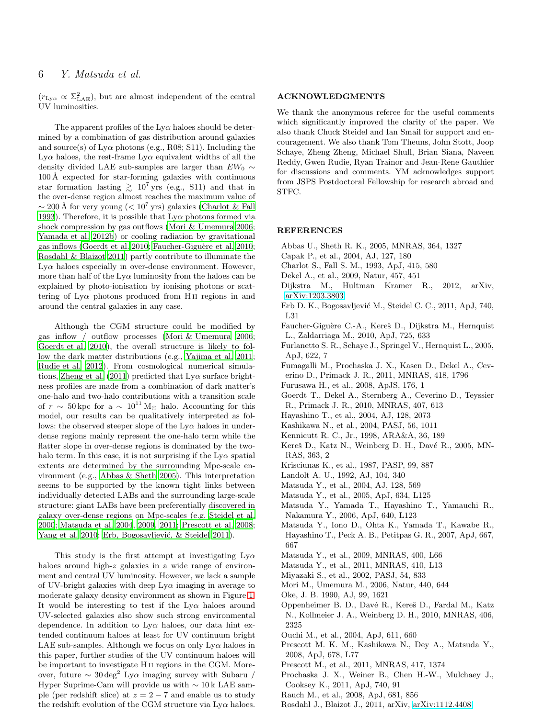# 6 Y. Matsuda et al.

 $(r_{\text{Ly}\alpha} \propto \Sigma_{\text{LAE}}^2)$ , but are almost independent of the central UV luminosities.

The apparent profiles of the  $Ly\alpha$  haloes should be determined by a combination of gas distribution around galaxies and source(s) of  $Ly\alpha$  photons (e.g., R08; S11). Including the  $Ly\alpha$  haloes, the rest-frame  $Ly\alpha$  equivalent widths of all the density divided LAE sub-samples are larger than  $EW_0 \sim$  $100 \text{ Å}$  expected for star-forming galaxies with continuous star formation lasting  $\gtrsim 10^7$  yrs (e.g., S11) and that in the over-dense region almost reaches the maximum value of  $\sim$  200 Å for very young (< 10<sup>7</sup> yrs) galaxies [\(Charlot & Fall](#page-5-28) [1993](#page-5-28)). Therefore, it is possible that  $Ly\alpha$  photons formed via shock compression by gas outflows [\(Mori & Umemura 2006;](#page-5-1) [Yamada et al. 2012b](#page-6-12)) or cooling radiation by gravitational gas inflows [\(Goerdt et al. 2010](#page-5-7); Faucher-Giguère et al. 2010; [Rosdahl & Blaizot 2011](#page-5-9)) partly contribute to illuminate the  $Ly\alpha$  haloes especially in over-dense environment. However, more than half of the  $Ly\alpha$  luminosity from the haloes can be explained by photo-ionisation by ionising photons or scattering of  $Ly\alpha$  photons produced from H<sub>II</sub> regions in and around the central galaxies in any case.

Although the CGM structure could be modified by gas inflow / outflow processes [\(Mori & Umemura 2006;](#page-5-1) [Goerdt et al. 2010](#page-5-7)), the overall structure is likely to follow the dark matter distributions (e.g., [Yajima et al. 2011;](#page-6-14) [Rudie et al. 2012](#page-6-2)). From cosmological numerical simula-tions, [Zheng et al. \(2011](#page-6-3)) predicted that  $Ly\alpha$  surface brightness profiles are made from a combination of dark matter's one-halo and two-halo contributions with a transition scale of  $r \sim 50 \,\text{kpc}$  for a  $\sim 10^{11} \,\text{M}_{\odot}$  halo. Accounting for this model, our results can be qualitatively interpreted as follows: the observed steeper slope of the  $Ly\alpha$  haloes in underdense regions mainly represent the one-halo term while the flatter slope in over-dense regions is dominated by the twohalo term. In this case, it is not surprising if the  $Ly\alpha$  spatial extents are determined by the surrounding Mpc-scale environment (e.g., [Abbas & Sheth 2005](#page-5-29)). This interpretation seems to be supported by the known tight links between individually detected LABs and the surrounding large-scale structure: giant LABs have been preferentially discovered in galaxy over-dense regions on Mpc-scales (e.g. [Steidel et al.](#page-6-5) [2000](#page-6-5); [Matsuda et al. 2004](#page-5-30), [2009](#page-5-31), [2011](#page-5-13); [Prescott et al. 2008;](#page-5-32) [Yang et al. 2010](#page-6-15); Erb, Bogosavljević, & Steidel 2011).

This study is the first attempt at investigating  $Ly\alpha$ haloes around high-z galaxies in a wide range of environment and central UV luminosity. However, we lack a sample of UV-bright galaxies with deep  $Ly\alpha$  imaging in average to moderate galaxy density environment as shown in Figure [1.](#page-1-0) It would be interesting to test if the  $Ly\alpha$  haloes around UV-selected galaxies also show such strong environmental dependence. In addition to  $Ly\alpha$  haloes, our data hint extended continuum haloes at least for UV continuum bright LAE sub-samples. Although we focus on only  $Ly\alpha$  haloes in this paper, further studies of the UV continuum haloes will be important to investigate H ii regions in the CGM. Moreover, future  $\sim 30 \text{ deg}^2$  Ly $\alpha$  imaging survey with Subaru / Hyper Suprime-Cam will provide us with  $\sim 10 \text{ k }$  LAE sample (per redshift slice) at  $z = 2 - 7$  and enable us to study the redshift evolution of the CGM structure via  $Ly\alpha$  haloes.

## ACKNOWLEDGMENTS

We thank the anonymous referee for the useful comments which significantly improved the clarity of the paper. We also thank Chuck Steidel and Ian Smail for support and encouragement. We also thank Tom Theuns, John Stott, Joop Schaye, Zheng Zheng, Michael Shull, Brian Siana, Naveen Reddy, Gwen Rudie, Ryan Trainor and Jean-Rene Gauthier for discussions and comments. YM acknowledges support from JSPS Postdoctoral Fellowship for research abroad and STFC.

# **REFERENCES**

- <span id="page-5-29"></span>Abbas U., Sheth R. K., 2005, MNRAS, 364, 1327
- <span id="page-5-16"></span>Capak P., et al., 2004, AJ, 127, 180
- <span id="page-5-28"></span>Charlot S., Fall S. M., 1993, ApJ, 415, 580
- <span id="page-5-2"></span>Dekel A., et al., 2009, Natur, 457, 451
- <span id="page-5-10"></span>Dijkstra M., Hultman Kramer R., 2012, arXiv, [arXiv:1203.3803](http://arxiv.org/abs/1203.3803)
- <span id="page-5-12"></span>Erb D. K., Bogosavljević M., Steidel C. C., 2011, ApJ, 740, L31
- <span id="page-5-8"></span>Faucher-Giguère C.-A., Kereš D., Dijkstra M., Hernquist L., Zaldarriaga M., 2010, ApJ, 725, 633
- <span id="page-5-6"></span>Furlanetto S. R., Schaye J., Springel V., Hernquist L., 2005, ApJ, 622, 7
- <span id="page-5-4"></span>Fumagalli M., Prochaska J. X., Kasen D., Dekel A., Ceverino D., Primack J. R., 2011, MNRAS, 418, 1796
- <span id="page-5-18"></span>Furusawa H., et al., 2008, ApJS, 176, 1
- <span id="page-5-7"></span>Goerdt T., Dekel A., Sternberg A., Ceverino D., Teyssier R., Primack J. R., 2010, MNRAS, 407, 613
- <span id="page-5-14"></span>Hayashino T., et al., 2004, AJ, 128, 2073
- <span id="page-5-17"></span>Kashikawa N., et al., 2004, PASJ, 56, 1011
- <span id="page-5-27"></span>Kennicutt R. C., Jr., 1998, ARA&A, 36, 189
- <span id="page-5-0"></span>Kereš D., Katz N., Weinberg D. H., Davé R., 2005, MN-RAS, 363, 2
- <span id="page-5-24"></span>Krisciunas K., et al., 1987, PASP, 99, 887
- <span id="page-5-21"></span>Landolt A. U., 1992, AJ, 104, 340
- <span id="page-5-30"></span>Matsuda Y., et al., 2004, AJ, 128, 569
- <span id="page-5-22"></span>Matsuda Y., et al., 2005, ApJ, 634, L125
- <span id="page-5-23"></span>Matsuda Y., Yamada T., Hayashino T., Yamauchi R., Nakamura Y., 2006, ApJ, 640, L123
- <span id="page-5-25"></span>Matsuda Y., Iono D., Ohta K., Yamada T., Kawabe R., Hayashino T., Peck A. B., Petitpas G. R., 2007, ApJ, 667, 667
- <span id="page-5-31"></span>Matsuda Y., et al., 2009, MNRAS, 400, L66
- <span id="page-5-13"></span>Matsuda Y., et al., 2011, MNRAS, 410, L13
- <span id="page-5-15"></span>Miyazaki S., et al., 2002, PASJ, 54, 833
- <span id="page-5-1"></span>Mori M., Umemura M., 2006, Natur, 440, 644
- <span id="page-5-20"></span>Oke, J. B. 1990, AJ, 99, 1621
- <span id="page-5-3"></span>Oppenheimer B. D., Davé R., Kereš D., Fardal M., Katz N., Kollmeier J. A., Weinberg D. H., 2010, MNRAS, 406, 2325
- <span id="page-5-19"></span>Ouchi M., et al., 2004, ApJ, 611, 660
- <span id="page-5-32"></span>Prescott M. K. M., Kashikawa N., Dey A., Matsuda Y., 2008, ApJ, 678, L77
- <span id="page-5-26"></span>Prescott M., et al., 2011, MNRAS, 417, 1374
- <span id="page-5-5"></span>Prochaska J. X., Weiner B., Chen H.-W., Mulchaey J., Cooksey K., 2011, ApJ, 740, 91
- <span id="page-5-11"></span>Rauch M., et al., 2008, ApJ, 681, 856
- <span id="page-5-9"></span>Rosdahl J., Blaizot J., 2011, arXiv, [arXiv:1112.4408](http://arxiv.org/abs/1112.4408)